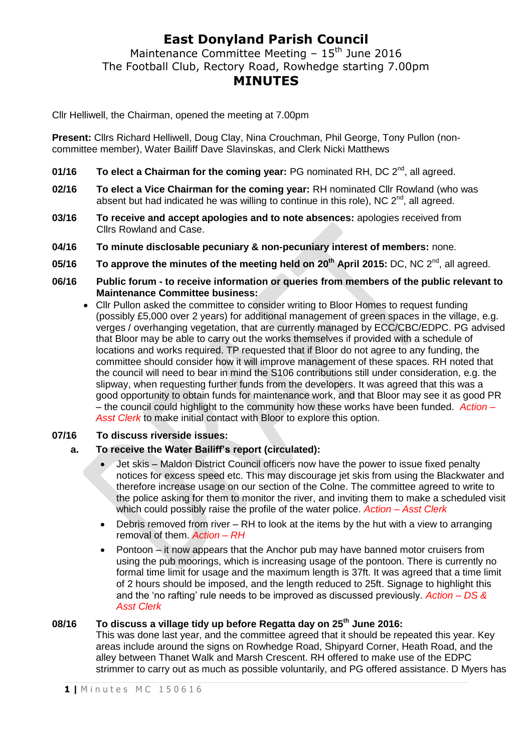## **East Donyland Parish Council**

Maintenance Committee Meeting –  $15<sup>th</sup>$  June 2016 The Football Club, Rectory Road, Rowhedge starting 7.00pm **MINUTES**

Cllr Helliwell, the Chairman, opened the meeting at 7.00pm

**Present:** Cllrs Richard Helliwell, Doug Clay, Nina Crouchman, Phil George, Tony Pullon (noncommittee member), Water Bailiff Dave Slavinskas, and Clerk Nicki Matthews

- **01/16 To elect a Chairman for the coming year:** PG nominated RH, DC 2<sup>nd</sup>, all agreed.
- **02/16 To elect a Vice Chairman for the coming year:** RH nominated Cllr Rowland (who was absent but had indicated he was willing to continue in this role), NC  $2^{nd}$ , all agreed.
- **03/16 To receive and accept apologies and to note absences:** apologies received from Cllrs Rowland and Case.
- **04/16 To minute disclosable pecuniary & non-pecuniary interest of members:** none.
- **05/16 To approve the minutes of the meeting held on 20th April 2015:** DC, NC 2nd , all agreed.
- **06/16 Public forum - to receive information or queries from members of the public relevant to Maintenance Committee business:**
	- Cllr Pullon asked the committee to consider writing to Bloor Homes to request funding (possibly £5,000 over 2 years) for additional management of green spaces in the village, e.g. verges / overhanging vegetation, that are currently managed by ECC/CBC/EDPC. PG advised that Bloor may be able to carry out the works themselves if provided with a schedule of locations and works required. TP requested that if Bloor do not agree to any funding, the committee should consider how it will improve management of these spaces. RH noted that the council will need to bear in mind the S106 contributions still under consideration, e.g. the slipway, when requesting further funds from the developers. It was agreed that this was a good opportunity to obtain funds for maintenance work, and that Bloor may see it as good PR – the council could highlight to the community how these works have been funded. *Action – Asst Clerk* to make initial contact with Bloor to explore this option.

### **07/16 To discuss riverside issues:**

#### **a. To receive the Water Bailiff's report (circulated):**

- Jet skis Maldon District Council officers now have the power to issue fixed penalty notices for excess speed etc. This may discourage jet skis from using the Blackwater and therefore increase usage on our section of the Colne. The committee agreed to write to the police asking for them to monitor the river, and inviting them to make a scheduled visit which could possibly raise the profile of the water police. *Action – Asst Clerk*
- Debris removed from river RH to look at the items by the hut with a view to arranging removal of them. *Action – RH*
- Pontoon it now appears that the Anchor pub may have banned motor cruisers from using the pub moorings, which is increasing usage of the pontoon. There is currently no formal time limit for usage and the maximum length is 37ft. It was agreed that a time limit of 2 hours should be imposed, and the length reduced to 25ft. Signage to highlight this and the 'no rafting' rule needs to be improved as discussed previously. *Action – DS & Asst Clerk*

## **08/16 To discuss a village tidy up before Regatta day on 25th June 2016:**

This was done last year, and the committee agreed that it should be repeated this year. Key areas include around the signs on Rowhedge Road, Shipyard Corner, Heath Road, and the alley between Thanet Walk and Marsh Crescent. RH offered to make use of the EDPC strimmer to carry out as much as possible voluntarily, and PG offered assistance. D Myers has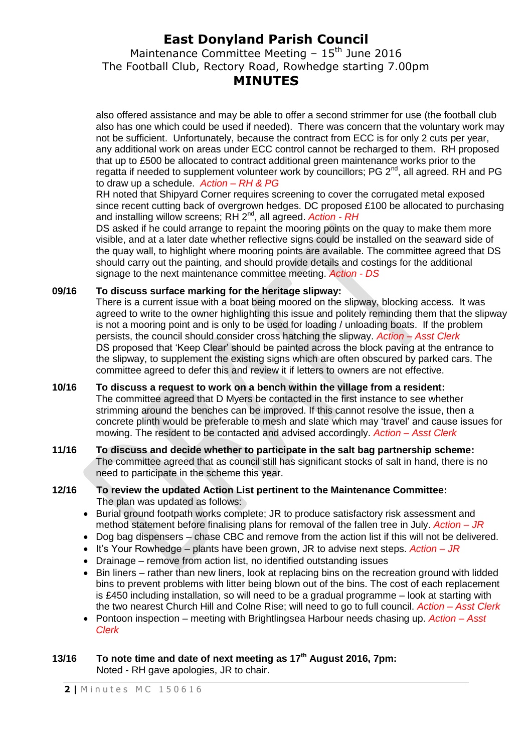# **East Donyland Parish Council**

Maintenance Committee Meeting  $-15<sup>th</sup>$  June 2016 The Football Club, Rectory Road, Rowhedge starting 7.00pm **MINUTES**

also offered assistance and may be able to offer a second strimmer for use (the football club also has one which could be used if needed). There was concern that the voluntary work may not be sufficient. Unfortunately, because the contract from ECC is for only 2 cuts per year, any additional work on areas under ECC control cannot be recharged to them. RH proposed that up to £500 be allocated to contract additional green maintenance works prior to the regatta if needed to supplement volunteer work by councillors; PG  $2^{nd}$ , all agreed. RH and PG to draw up a schedule. *Action – RH & PG*

RH noted that Shipyard Corner requires screening to cover the corrugated metal exposed since recent cutting back of overgrown hedges. DC proposed £100 be allocated to purchasing and installing willow screens; RH 2<sup>nd</sup>, all agreed. Action - RH

DS asked if he could arrange to repaint the mooring points on the quay to make them more visible, and at a later date whether reflective signs could be installed on the seaward side of the quay wall, to highlight where mooring points are available. The committee agreed that DS should carry out the painting, and should provide details and costings for the additional signage to the next maintenance committee meeting. *Action - DS*

#### **09/16 To discuss surface marking for the heritage slipway:**

There is a current issue with a boat being moored on the slipway, blocking access. It was agreed to write to the owner highlighting this issue and politely reminding them that the slipway is not a mooring point and is only to be used for loading / unloading boats. If the problem persists, the council should consider cross hatching the slipway. *Action – Asst Clerk* DS proposed that 'Keep Clear' should be painted across the block paving at the entrance to the slipway, to supplement the existing signs which are often obscured by parked cars. The committee agreed to defer this and review it if letters to owners are not effective.

- **10/16 To discuss a request to work on a bench within the village from a resident:** The committee agreed that D Myers be contacted in the first instance to see whether strimming around the benches can be improved. If this cannot resolve the issue, then a concrete plinth would be preferable to mesh and slate which may 'travel' and cause issues for mowing. The resident to be contacted and advised accordingly. *Action – Asst Clerk*
- **11/16 To discuss and decide whether to participate in the salt bag partnership scheme:** The committee agreed that as council still has significant stocks of salt in hand, there is no need to participate in the scheme this year.

#### **12/16 To review the updated Action List pertinent to the Maintenance Committee:** The plan was updated as follows:

- Burial ground footpath works complete; JR to produce satisfactory risk assessment and method statement before finalising plans for removal of the fallen tree in July. *Action – JR*
- Dog bag dispensers chase CBC and remove from the action list if this will not be delivered.
- It's Your Rowhedge plants have been grown, JR to advise next steps. *Action JR*
- Drainage remove from action list, no identified outstanding issues
- Bin liners rather than new liners, look at replacing bins on the recreation ground with lidded bins to prevent problems with litter being blown out of the bins. The cost of each replacement is  $£450$  including installation, so will need to be a gradual programme  $-$  look at starting with the two nearest Church Hill and Colne Rise; will need to go to full council. *Action – Asst Clerk*
- Pontoon inspection meeting with Brightlingsea Harbour needs chasing up. *Action – Asst Clerk*

### **13/16 To note time and date of next meeting as 17th August 2016, 7pm:**  Noted - RH gave apologies, JR to chair.